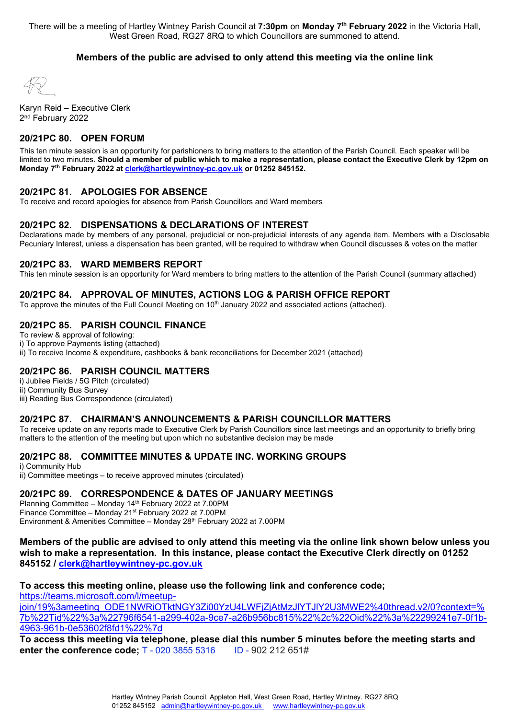There will be a meeting of Hartley Wintney Parish Council at **7:30pm** on **Monday 7th February 2022** in the Victoria Hall, West Green Road, RG27 8RQ to which Councillors are summoned to attend.

#### **Members of the public are advised to only attend this meeting via the online link**

Karyn Reid – Executive Clerk 2<sup>nd</sup> February 2022

## **20/21PC 80. OPEN FORUM**

This ten minute session is an opportunity for parishioners to bring matters to the attention of the Parish Council. Each speaker will be limited to two minutes. **Should a member of public which to make a representation, please contact the Executive Clerk by 12pm on Monday 7th February 2022 a[t clerk@hartleywintney-pc.gov.uk](mailto:clerk@hartleywintney-pc.gov.uk) or 01252 845152.**

#### **20/21PC 81. APOLOGIES FOR ABSENCE**

To receive and record apologies for absence from Parish Councillors and Ward members

#### **20/21PC 82. DISPENSATIONS & DECLARATIONS OF INTEREST**

Declarations made by members of any personal, prejudicial or non-prejudicial interests of any agenda item. Members with a Disclosable Pecuniary Interest, unless a dispensation has been granted, will be required to withdraw when Council discusses & votes on the matter

#### **20/21PC 83. WARD MEMBERS REPORT**

This ten minute session is an opportunity for Ward members to bring matters to the attention of the Parish Council (summary attached)

#### **20/21PC 84. APPROVAL OF MINUTES, ACTIONS LOG & PARISH OFFICE REPORT**

To approve the minutes of the Full Council Meeting on 10<sup>th</sup> January 2022 and associated actions (attached).

#### **20/21PC 85. PARISH COUNCIL FINANCE**

To review & approval of following:

i) To approve Payments listing (attached)

ii) To receive Income & expenditure, cashbooks & bank reconciliations for December 2021 (attached)

## **20/21PC 86. PARISH COUNCIL MATTERS**

i) Jubilee Fields / 5G Pitch (circulated) ii) Community Bus Survey iii) Reading Bus Correspondence (circulated)

#### **20/21PC 87. CHAIRMAN'S ANNOUNCEMENTS & PARISH COUNCILLOR MATTERS**

To receive update on any reports made to Executive Clerk by Parish Councillors since last meetings and an opportunity to briefly bring matters to the attention of the meeting but upon which no substantive decision may be made

#### **20/21PC 88. COMMITTEE MINUTES & UPDATE INC. WORKING GROUPS**

i) Community Hub ii) Committee meetings – to receive approved minutes (circulated)

#### **20/21PC 89. CORRESPONDENCE & DATES OF JANUARY MEETINGS**

Planning Committee - Monday 14<sup>th</sup> February 2022 at 7.00PM Finance Committee – Monday 21st February 2022 at 7.00PM Environment & Amenities Committee – Monday 28th February 2022 at 7.00PM

**Members of the public are advised to only attend this meeting via the online link shown below unless you wish to make a representation. In this instance, please contact the Executive Clerk directly on 01252 845152 / [clerk@hartleywintney-pc.gov.uk](mailto:clerk@hartleywintney-pc.gov.uk)**

## **To access this meeting online, please use the following link and conference code;**

[https://teams.microsoft.com/l/meetup-](https://teams.microsoft.com/l/meetup-join/19%3ameeting_ODE1NWRiOTktNGY3Zi00YzU4LWFjZjAtMzJlYTJlY2U3MWE2%40thread.v2/0?context=%7b%22Tid%22%3a%22796f6541-a299-402a-9ce7-a26b956bc815%22%2c%22Oid%22%3a%22299241e7-0f1b-4963-961b-0e53602f8fd1%22%7d)

[join/19%3ameeting\\_ODE1NWRiOTktNGY3Zi00YzU4LWFjZjAtMzJlYTJlY2U3MWE2%40thread.v2/0?context=%](https://teams.microsoft.com/l/meetup-join/19%3ameeting_ODE1NWRiOTktNGY3Zi00YzU4LWFjZjAtMzJlYTJlY2U3MWE2%40thread.v2/0?context=%7b%22Tid%22%3a%22796f6541-a299-402a-9ce7-a26b956bc815%22%2c%22Oid%22%3a%22299241e7-0f1b-4963-961b-0e53602f8fd1%22%7d) [7b%22Tid%22%3a%22796f6541-a299-402a-9ce7-a26b956bc815%22%2c%22Oid%22%3a%22299241e7-0f1b-](https://teams.microsoft.com/l/meetup-join/19%3ameeting_ODE1NWRiOTktNGY3Zi00YzU4LWFjZjAtMzJlYTJlY2U3MWE2%40thread.v2/0?context=%7b%22Tid%22%3a%22796f6541-a299-402a-9ce7-a26b956bc815%22%2c%22Oid%22%3a%22299241e7-0f1b-4963-961b-0e53602f8fd1%22%7d)[4963-961b-0e53602f8fd1%22%7d](https://teams.microsoft.com/l/meetup-join/19%3ameeting_ODE1NWRiOTktNGY3Zi00YzU4LWFjZjAtMzJlYTJlY2U3MWE2%40thread.v2/0?context=%7b%22Tid%22%3a%22796f6541-a299-402a-9ce7-a26b956bc815%22%2c%22Oid%22%3a%22299241e7-0f1b-4963-961b-0e53602f8fd1%22%7d)

**To access this meeting via telephone, please dial this number 5 minutes before the meeting starts and enter the conference code:** T - 020 3855 5316 ID - 902 212 651#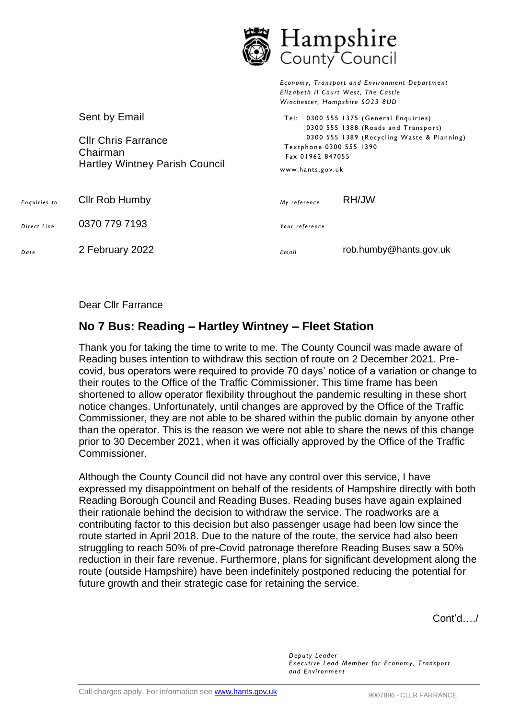|              |                                                                                                  | Hampshire<br>County Council                                     |                                                                                                                                                                                                                                                       |
|--------------|--------------------------------------------------------------------------------------------------|-----------------------------------------------------------------|-------------------------------------------------------------------------------------------------------------------------------------------------------------------------------------------------------------------------------------------------------|
|              | Sent by Email<br><b>CIIr Chris Farrance</b><br>Chairman<br><b>Hartley Wintney Parish Council</b> | Textphone 0300 555 1390<br>Fax 01962 847055<br>www.hants.gov.uk | Economy, Transport and Environment Department<br>Elizabeth II Court West, The Castle<br>Winchester, Hampshire SO23 8UD<br>Tel: 0300 555 1375 (General Enquiries)<br>0300 555 1388 (Roads and Transport)<br>0300 555 1389 (Recycling Waste & Planning) |
| Enguiries to | <b>Cllr Rob Humby</b>                                                                            | My reference                                                    | RH/JW                                                                                                                                                                                                                                                 |
| Direct Line  | 0370 779 7193                                                                                    | Your reference                                                  |                                                                                                                                                                                                                                                       |
| Date         | 2 February 2022                                                                                  | Email                                                           | rob.humby@hants.gov.uk                                                                                                                                                                                                                                |

₩ ΤΤ

 $\blacksquare$ 

Dear Cllr Farrance

# **No 7 Bus: Reading – Hartley Wintney – Fleet Station**

Thank you for taking the time to write to me. The County Council was made aware of Reading buses intention to withdraw this section of route on 2 December 2021. Precovid, bus operators were required to provide 70 days' notice of a variation or change to their routes to the Office of the Traffic Commissioner. This time frame has been shortened to allow operator flexibility throughout the pandemic resulting in these short notice changes. Unfortunately, until changes are approved by the Office of the Traffic Commissioner, they are not able to be shared within the public domain by anyone other than the operator. This is the reason we were not able to share the news of this change prior to 30 December 2021, when it was officially approved by the Office of the Traffic Commissioner.

Although the County Council did not have any control over this service, I have expressed my disappointment on behalf of the residents of Hampshire directly with both Reading Borough Council and Reading Buses. Reading buses have again explained their rationale behind the decision to withdraw the service. The roadworks are a contributing factor to this decision but also passenger usage had been low since the route started in April 2018. Due to the nature of the route, the service had also been struggling to reach 50% of pre-Covid patronage therefore Reading Buses saw a 50% reduction in their fare revenue. Furthermore, plans for significant development along the route (outside Hampshire) have been indefinitely postponed reducing the potential for future growth and their strategic case for retaining the service.

Cont'd…./

*Deputy Leader Executi ve Lead Member for Economy, Transport and Environment*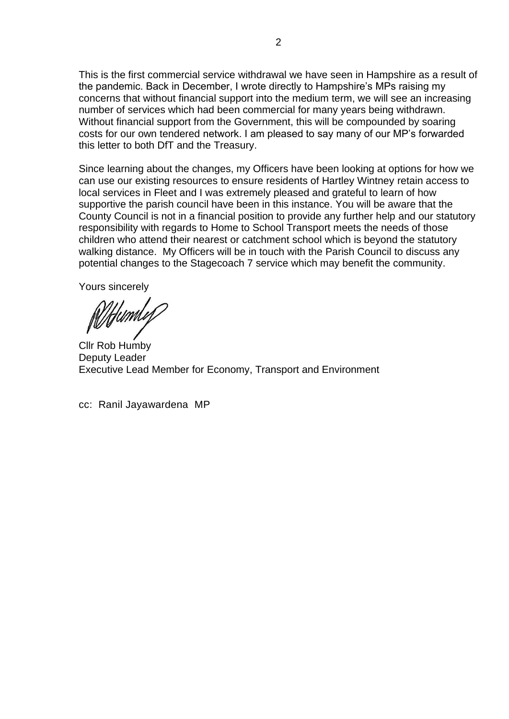This is the first commercial service withdrawal we have seen in Hampshire as a result of the pandemic. Back in December, I wrote directly to Hampshire's MPs raising my concerns that without financial support into the medium term, we will see an increasing number of services which had been commercial for many years being withdrawn. Without financial support from the Government, this will be compounded by soaring costs for our own tendered network. I am pleased to say many of our MP's forwarded this letter to both DfT and the Treasury.

Since learning about the changes, my Officers have been looking at options for how we can use our existing resources to ensure residents of Hartley Wintney retain access to local services in Fleet and I was extremely pleased and grateful to learn of how supportive the parish council have been in this instance. You will be aware that the County Council is not in a financial position to provide any further help and our statutory responsibility with regards to Home to School Transport meets the needs of those children who attend their nearest or catchment school which is beyond the statutory walking distance. My Officers will be in touch with the Parish Council to discuss any potential changes to the Stagecoach 7 service which may benefit the community.

Yours sincerely

<u>Wtt</u>uml*ef* 

Cllr Rob Humby Deputy Leader Executive Lead Member for Economy, Transport and Environment

cc: Ranil Jayawardena MP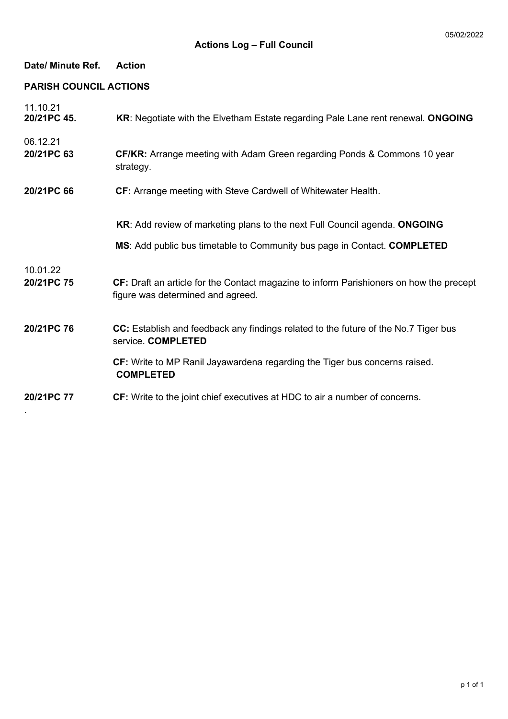| Date/ Minute Ref.             | <b>Action</b>                                                                                                                                          |
|-------------------------------|--------------------------------------------------------------------------------------------------------------------------------------------------------|
| <b>PARISH COUNCIL ACTIONS</b> |                                                                                                                                                        |
| 11.10.21<br>20/21PC 45.       | KR: Negotiate with the Elvetham Estate regarding Pale Lane rent renewal. ONGOING                                                                       |
| 06.12.21<br>20/21PC 63        | <b>CF/KR:</b> Arrange meeting with Adam Green regarding Ponds & Commons 10 year<br>strategy.                                                           |
| 20/21PC 66                    | CF: Arrange meeting with Steve Cardwell of Whitewater Health.                                                                                          |
|                               | KR: Add review of marketing plans to the next Full Council agenda. ONGOING<br>MS: Add public bus timetable to Community bus page in Contact. COMPLETED |
| 10.01.22<br>20/21PC 75        | CF: Draft an article for the Contact magazine to inform Parishioners on how the precept<br>figure was determined and agreed.                           |
| 20/21PC 76                    | CC: Establish and feedback any findings related to the future of the No.7 Tiger bus<br>service. COMPLETED                                              |
|                               | CF: Write to MP Ranil Jayawardena regarding the Tiger bus concerns raised.<br><b>COMPLETED</b>                                                         |
| 20/21PC 77                    | CF: Write to the joint chief executives at HDC to air a number of concerns.                                                                            |
|                               |                                                                                                                                                        |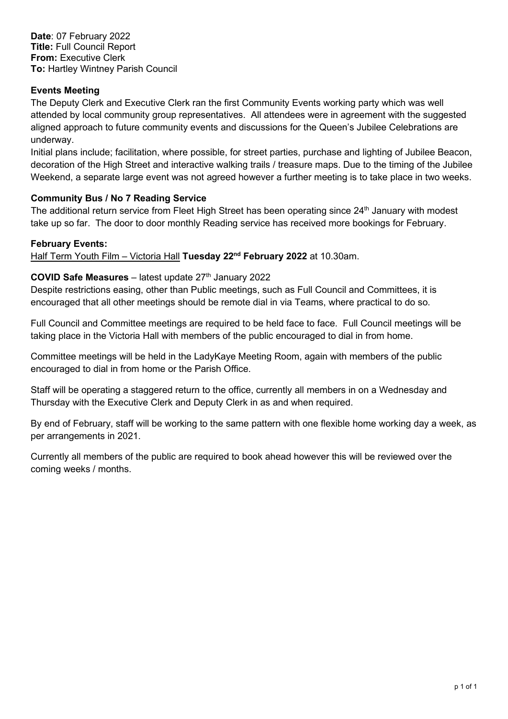# **Events Meeting**

The Deputy Clerk and Executive Clerk ran the first Community Events working party which was well attended by local community group representatives. All attendees were in agreement with the suggested aligned approach to future community events and discussions for the Queen's Jubilee Celebrations are underway.

Initial plans include; facilitation, where possible, for street parties, purchase and lighting of Jubilee Beacon, decoration of the High Street and interactive walking trails / treasure maps. Due to the timing of the Jubilee Weekend, a separate large event was not agreed however a further meeting is to take place in two weeks.

# **Community Bus / No 7 Reading Service**

The additional return service from Fleet High Street has been operating since 24<sup>th</sup> January with modest take up so far. The door to door monthly Reading service has received more bookings for February.

# **February Events:**

Half Term Youth Film – Victoria Hall **Tuesday 22nd February 2022** at 10.30am.

# **COVID Safe Measures** – latest update 27<sup>th</sup> January 2022

Despite restrictions easing, other than Public meetings, such as Full Council and Committees, it is encouraged that all other meetings should be remote dial in via Teams, where practical to do so.

Full Council and Committee meetings are required to be held face to face. Full Council meetings will be taking place in the Victoria Hall with members of the public encouraged to dial in from home.

Committee meetings will be held in the LadyKaye Meeting Room, again with members of the public encouraged to dial in from home or the Parish Office.

Staff will be operating a staggered return to the office, currently all members in on a Wednesday and Thursday with the Executive Clerk and Deputy Clerk in as and when required.

By end of February, staff will be working to the same pattern with one flexible home working day a week, as per arrangements in 2021.

Currently all members of the public are required to book ahead however this will be reviewed over the coming weeks / months.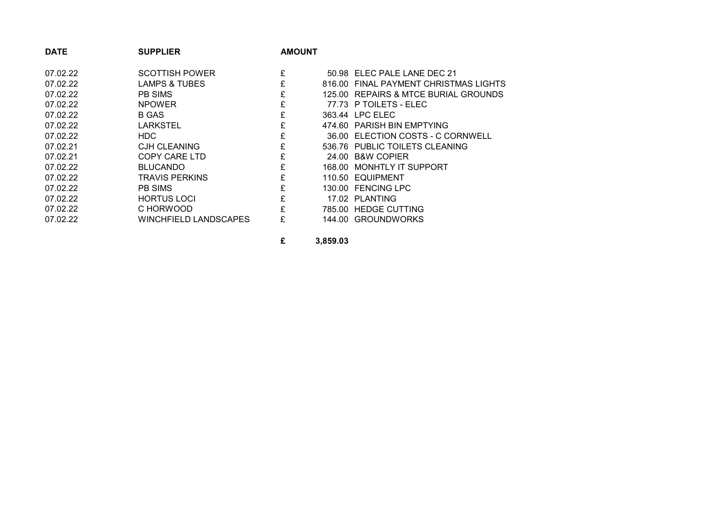| <b>DATE</b> | <b>SUPPLIER</b>       | <b>AMOUNT</b> |                                       |
|-------------|-----------------------|---------------|---------------------------------------|
| 07.02.22    | <b>SCOTTISH POWER</b> | £             | 50.98 ELEC PALE LANE DEC 21           |
| 07.02.22    | LAMPS & TUBES         | £             | 816.00 FINAL PAYMENT CHRISTMAS LIGHTS |
| 07.02.22    | PB SIMS               | £             | 125.00 REPAIRS & MTCE BURIAL GROUNDS  |
| 07.02.22    | <b>NPOWER</b>         | £             | 77.73 P TOILETS - ELEC                |
| 07.02.22    | B GAS                 | £             | 363.44 LPC ELEC                       |
| 07.02.22    | LARKSTEL              | £             | 474.60 PARISH BIN EMPTYING            |
| 07.02.22    | HDC.                  | £             | 36.00 ELECTION COSTS - C CORNWELL     |
| 07.02.21    | <b>CJH CLEANING</b>   | £             | 536.76 PUBLIC TOILETS CLEANING        |
| 07.02.21    | <b>COPY CARE LTD</b>  | £             | 24.00 B&W COPIER                      |
| 07.02.22    | <b>BLUCANDO</b>       | £             | 168.00 MONHTLY IT SUPPORT             |
| 07.02.22    | TRAVIS PERKINS        | £             | 110.50 EQUIPMENT                      |
| 07.02.22    | <b>PB SIMS</b>        | £             | 130.00 FENCING LPC                    |
| 07.02.22    | <b>HORTUS LOCI</b>    | £             | 17.02 PLANTING                        |
| 07.02.22    | C HORWOOD             | £             | 785.00 HEDGE CUTTING                  |
| 07.02.22    | WINCHFIELD LANDSCAPES | £             | 144.00 GROUNDWORKS                    |
|             |                       |               |                                       |

**£ 3,859.03**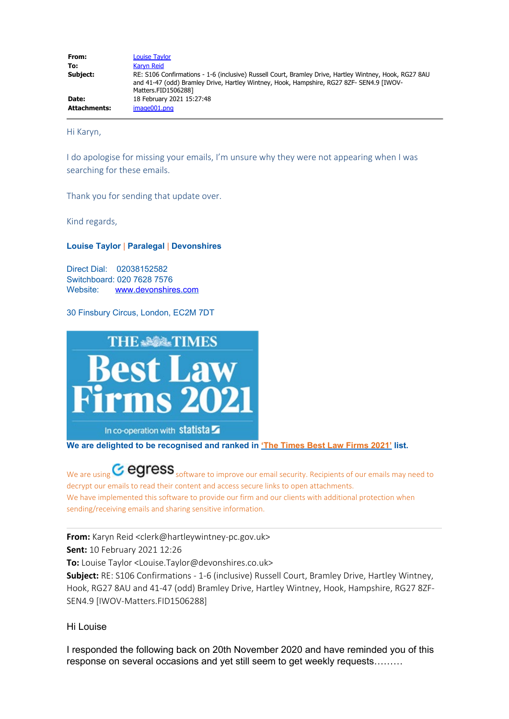| From:               | <b>Louise Taylor</b>                                                                                                                                                                                                      |
|---------------------|---------------------------------------------------------------------------------------------------------------------------------------------------------------------------------------------------------------------------|
| To:                 | <b>Karyn Reid</b>                                                                                                                                                                                                         |
| Subject:            | RE: S106 Confirmations - 1-6 (inclusive) Russell Court, Bramley Drive, Hartley Wintney, Hook, RG27 8AU<br>and 41-47 (odd) Bramley Drive, Hartley Wintney, Hook, Hampshire, RG27 8ZF- SEN4.9 [IWOV-<br>Matters.FID15062881 |
| Date:               | 18 February 2021 15:27:48                                                                                                                                                                                                 |
| <b>Attachments:</b> | image001.png                                                                                                                                                                                                              |

Hi Karyn,

I do apologise for missing your emails, I'm unsure why they were not appearing when I was searching for these emails.

Thank you for sending that update over.

Kind regards,

## **Louise Taylor** | **Paralegal** | **Devonshires**

Direct Dial: 02038152582 Switchboard: 020 7628 7576 Website: [www.devonshires.com](http://www.devonshires.com/)

30 Finsbury Circus, London, EC2M 7DT



**We are delighted to be recognised and ranked in ['The Times Best Law Firms 2021'](https://www.thetimes.co.uk/article/best-law-firms-2021-9kh6q236r) list.**

We are using  $\text{C}$  egress software to improve our email security. Recipients of our emails may need to decrypt our emails to read their content and access secure links to open attachments. We have implemented this software to provide our firm and our clients with additional protection when sending/receiving emails and sharing sensitive information.

## **From:** Karyn Reid <clerk@hartleywintney-pc.gov.uk>

**Sent:** 10 February 2021 12:26

**To:** Louise Taylor <Louise.Taylor@devonshires.co.uk>

**Subject:** RE: S106 Confirmations - 1-6 (inclusive) Russell Court, Bramley Drive, Hartley Wintney, Hook, RG27 8AU and 41-47 (odd) Bramley Drive, Hartley Wintney, Hook, Hampshire, RG27 8ZF-SEN4.9 [IWOV-Matters.FID1506288]

## Hi Louise

I responded the following back on 20th November 2020 and have reminded you of this response on several occasions and yet still seem to get weekly requests………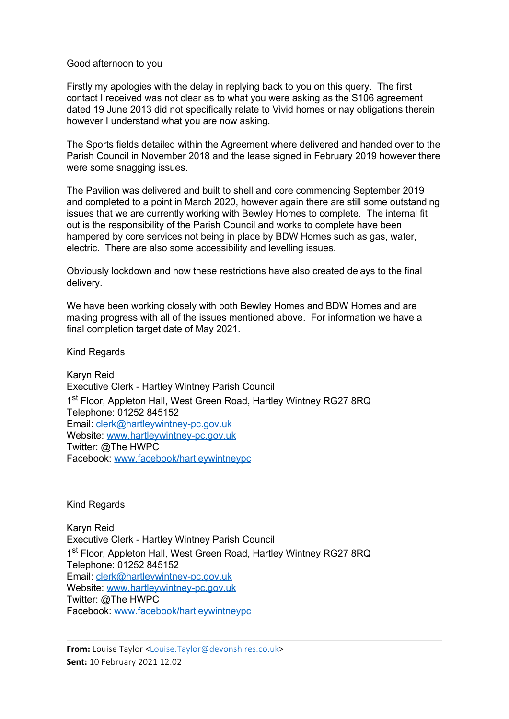## Good afternoon to you

Firstly my apologies with the delay in replying back to you on this query. The first contact I received was not clear as to what you were asking as the S106 agreement dated 19 June 2013 did not specifically relate to Vivid homes or nay obligations therein however I understand what you are now asking.

The Sports fields detailed within the Agreement where delivered and handed over to the Parish Council in November 2018 and the lease signed in February 2019 however there were some snagging issues.

The Pavilion was delivered and built to shell and core commencing September 2019 and completed to a point in March 2020, however again there are still some outstanding issues that we are currently working with Bewley Homes to complete. The internal fit out is the responsibility of the Parish Council and works to complete have been hampered by core services not being in place by BDW Homes such as gas, water, electric. There are also some accessibility and levelling issues.

Obviously lockdown and now these restrictions have also created delays to the final delivery.

We have been working closely with both Bewley Homes and BDW Homes and are making progress with all of the issues mentioned above. For information we have a final completion target date of May 2021.

Kind Regards

Karyn Reid Executive Clerk - Hartley Wintney Parish Council 1<sup>st</sup> Floor, Appleton Hall, West Green Road, Hartley Wintney RG27 8RQ Telephone: 01252 845152 Email: [clerk@hartleywintney-pc.gov.uk](mailto:clerk@hartleywintney-pc.gov.uk) Website: [www.hartleywintney-pc.gov.uk](http://www.hartleywintney-pc.gov.uk/) Twitter: @The HWPC Facebook: [www.facebook/hartleywintneypc](http://www.facebook/hartleywintneypc)

Kind Regards

Karyn Reid Executive Clerk - Hartley Wintney Parish Council 1<sup>st</sup> Floor, Appleton Hall, West Green Road, Hartley Wintney RG27 8RQ Telephone: 01252 845152 Email: [clerk@hartleywintney-pc.gov.uk](mailto:clerk@hartleywintney-pc.gov.uk) Website: [www.hartleywintney-pc.gov.uk](http://www.hartleywintney-pc.gov.uk/) Twitter: @The HWPC Facebook: [www.facebook/hartleywintneypc](http://www.facebook/hartleywintneypc)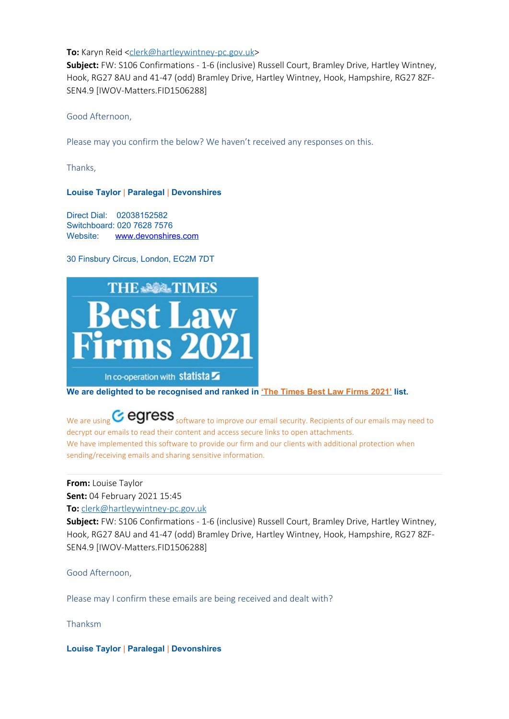## **To:** Karyn Reid [<clerk@hartleywintney-pc.gov.uk](mailto:clerk@hartleywintney-pc.gov.uk)>

**Subject:** FW: S106 Confirmations - 1-6 (inclusive) Russell Court, Bramley Drive, Hartley Wintney, Hook, RG27 8AU and 41-47 (odd) Bramley Drive, Hartley Wintney, Hook, Hampshire, RG27 8ZF-SEN4.9 [IWOV-Matters.FID1506288]

Good Afternoon,

Please may you confirm the below? We haven't received any responses on this.

Thanks,

## **Louise Taylor** | **Paralegal** | **Devonshires**

Direct Dial: 02038152582 Switchboard: 020 7628 7576 Website: [www.devonshires.com](http://www.devonshires.com/)

30 Finsbury Circus, London, EC2M 7DT



**We are delighted to be recognised and ranked in ['The Times Best Law Firms 2021'](https://www.thetimes.co.uk/article/best-law-firms-2021-9kh6q236r) list.**

We are using  $\text{C}$  egress software to improve our email security. Recipients of our emails may need to decrypt our emails to read their content and access secure links to open attachments. We have implemented this software to provide our firm and our clients with additional protection when sending/receiving emails and sharing sensitive information.

## **From:** Louise Taylor

**Sent:** 04 February 2021 15:45

**To:** [clerk@hartleywintney-pc.gov.uk](mailto:clerk@hartleywintney-pc.gov.uk)

**Subject:** FW: S106 Confirmations - 1-6 (inclusive) Russell Court, Bramley Drive, Hartley Wintney, Hook, RG27 8AU and 41-47 (odd) Bramley Drive, Hartley Wintney, Hook, Hampshire, RG27 8ZF-SEN4.9 [IWOV-Matters.FID1506288]

Good Afternoon,

Please may I confirm these emails are being received and dealt with?

Thanksm

**Louise Taylor** | **Paralegal** | **Devonshires**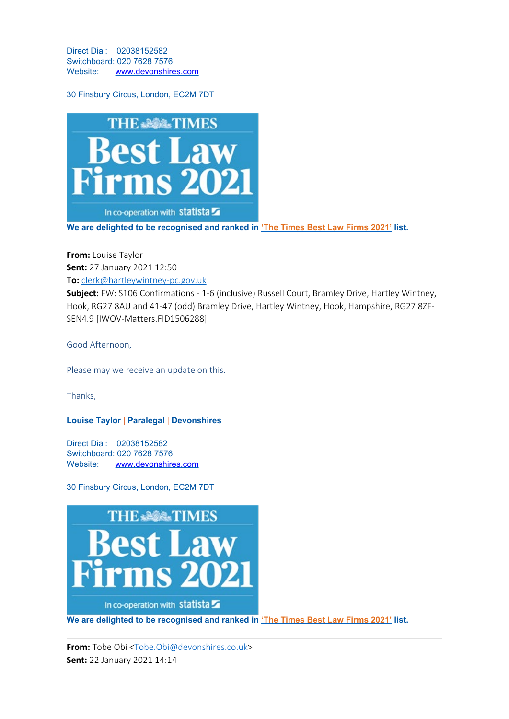Direct Dial: 02038152582 Switchboard: 020 7628 7576 Website: [www.devonshires.com](http://www.devonshires.com/)

30 Finsbury Circus, London, EC2M 7DT



**We are delighted to be recognised and ranked in ['The Times Best Law Firms 2021'](https://www.thetimes.co.uk/article/best-law-firms-2021-9kh6q236r) list.**

**From:** Louise Taylor **Sent:** 27 January 2021 12:50 **To:** [clerk@hartleywintney-pc.gov.uk](mailto:clerk@hartleywintney-pc.gov.uk)

**Subject:** FW: S106 Confirmations - 1-6 (inclusive) Russell Court, Bramley Drive, Hartley Wintney, Hook, RG27 8AU and 41-47 (odd) Bramley Drive, Hartley Wintney, Hook, Hampshire, RG27 8ZF-SEN4.9 [IWOV-Matters.FID1506288]

Good Afternoon,

Please may we receive an update on this.

Thanks,

## **Louise Taylor** | **Paralegal** | **Devonshires**

Direct Dial: 02038152582 Switchboard: 020 7628 7576 Website: [www.devonshires.com](http://www.devonshires.com/)

30 Finsbury Circus, London, EC2M 7DT



**We are delighted to be recognised and ranked in ['The Times Best Law Firms 2021'](https://www.thetimes.co.uk/article/best-law-firms-2021-9kh6q236r) list.**

From: Tobe Obi [<Tobe.Obi@devonshires.co.uk](mailto:Tobe.Obi@devonshires.co.uk)> **Sent:** 22 January 2021 14:14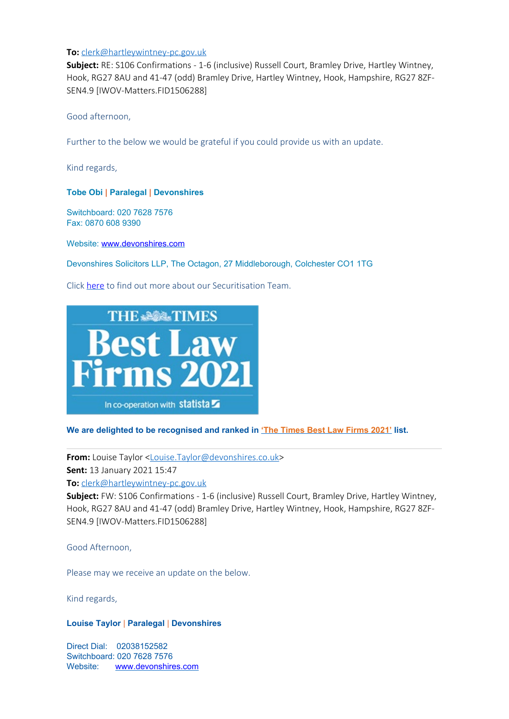## **To:** [clerk@hartleywintney-pc.gov.uk](mailto:clerk@hartleywintney-pc.gov.uk)

**Subject:** RE: S106 Confirmations - 1-6 (inclusive) Russell Court, Bramley Drive, Hartley Wintney, Hook, RG27 8AU and 41-47 (odd) Bramley Drive, Hartley Wintney, Hook, Hampshire, RG27 8ZF-SEN4.9 [IWOV-Matters.FID1506288]

Good afternoon,

Further to the below we would be grateful if you could provide us with an update.

Kind regards,

**Tobe Obi | Paralegal | Devonshires**

Switchboard: 020 7628 7576 Fax: 0870 608 9390

Website: [www.devonshires.com](http://www.devonshires.com/)

Devonshires Solicitors LLP, The Octagon, 27 Middleborough, Colchester CO1 1TG

Click [here](https://www.devonshires.com/stress-free-securitisation-5/) to find out more about our Securitisation Team.



## **We are delighted to be recognised and ranked in ['The Times Best Law Firms 2021'](https://www.thetimes.co.uk/article/best-law-firms-2021-9kh6q236r) list.**

**From:** Louise Taylor [<Louise.Taylor@devonshires.co.uk](mailto:Louise.Taylor@devonshires.co.uk)> **Sent:** 13 January 2021 15:47 **To:** [clerk@hartleywintney-pc.gov.uk](mailto:clerk@hartleywintney-pc.gov.uk)

**Subject:** FW: S106 Confirmations - 1-6 (inclusive) Russell Court, Bramley Drive, Hartley Wintney, Hook, RG27 8AU and 41-47 (odd) Bramley Drive, Hartley Wintney, Hook, Hampshire, RG27 8ZF-SEN4.9 [IWOV-Matters.FID1506288]

Good Afternoon,

Please may we receive an update on the below.

Kind regards,

## **Louise Taylor** | **Paralegal** | **Devonshires**

Direct Dial: 02038152582 Switchboard: 020 7628 7576 Website: [www.devonshires.com](http://www.devonshires.com/)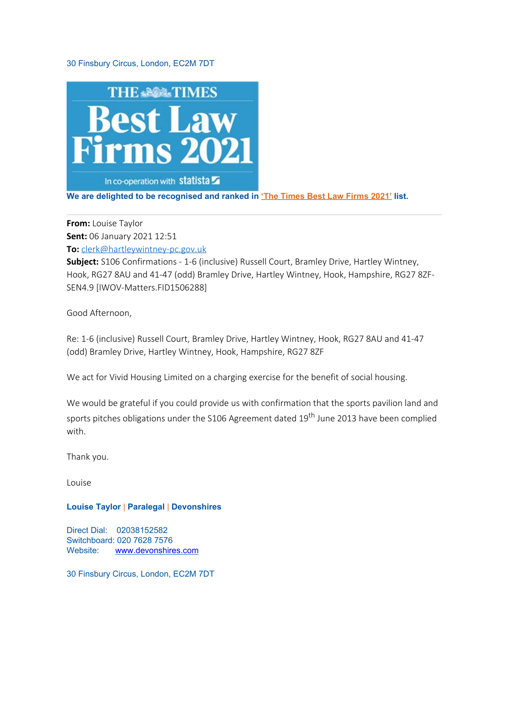## 30 Finsbury Circus, London, EC2M 7DT



**We are delighted to be recognised and ranked in ['The Times Best Law Firms 2021'](https://www.thetimes.co.uk/article/best-law-firms-2021-9kh6q236r) list.**

**From:** Louise Taylor **Sent:** 06 January 2021 12:51 **To:** [clerk@hartleywintney-pc.gov.uk](mailto:clerk@hartleywintney-pc.gov.uk)

**Subject:** S106 Confirmations - 1-6 (inclusive) Russell Court, Bramley Drive, Hartley Wintney, Hook, RG27 8AU and 41-47 (odd) Bramley Drive, Hartley Wintney, Hook, Hampshire, RG27 8ZF-SEN4.9 [IWOV-Matters.FID1506288]

Good Afternoon,

Re: 1-6 (inclusive) Russell Court, Bramley Drive, Hartley Wintney, Hook, RG27 8AU and 41-47 (odd) Bramley Drive, Hartley Wintney, Hook, Hampshire, RG27 8ZF

We act for Vivid Housing Limited on a charging exercise for the benefit of social housing.

We would be grateful if you could provide us with confirmation that the sports pavilion land and sports pitches obligations under the S106 Agreement dated 19<sup>th</sup> June 2013 have been complied with.

Thank you.

Louise

## **Louise Taylor** | **Paralegal** | **Devonshires**

Direct Dial: 02038152582 Switchboard: 020 7628 7576 Website: [www.devonshires.com](http://www.devonshires.com/)

30 Finsbury Circus, London, EC2M 7DT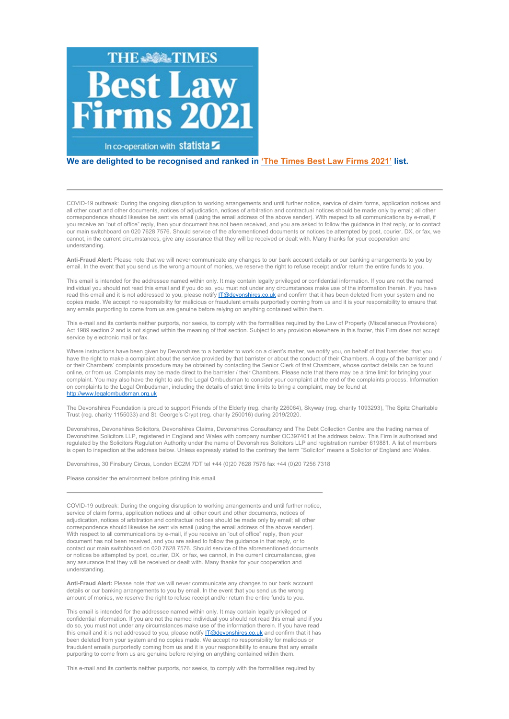

#### **We are delighted to be recognised and ranked in ['The Times Best Law Firms 2021'](https://www.thetimes.co.uk/article/best-law-firms-2021-9kh6q236r) list.**

COVID-19 outbreak: During the ongoing disruption to working arrangements and until further notice, service of claim forms, application notices and all other court and other documents, notices of adjudication, notices of arbitration and contractual notices should be made only by email; all other correspondence should likewise be sent via email (using the email address of the above sender). With respect to all communications by e-mail, if you receive an "out of office" reply, then your document has not been received, and you are asked to follow the guidance in that reply, or to contact our main switchboard on 020 7628 7576. Should service of the aforementioned documents or notices be attempted by post, courier, DX, or fax, we cannot, in the current circumstances, give any assurance that they will be received or dealt with. Many thanks for your cooperation and understanding.

**Anti-Fraud Alert:** Please note that we will never communicate any changes to our bank account details or our banking arrangements to you by email. In the event that you send us the wrong amount of monies, we reserve the right to refuse receipt and/or return the entire funds to you.

This email is intended for the addressee named within only. It may contain legally privileged or confidential information. If you are not the named individual you should not read this email and if you do so, you must not under any circumstances make use of the information therein. If you have read this email and it is not addressed to you, please notify [IT@devonshires.co.uk](mailto:%20IT@devonshires.co.uk) and confirm that it has been deleted from your system and no copies made. We accept no responsibility for malicious or fraudulent emails purportedly coming from us and it is your responsibility to ensure that any emails purporting to come from us are genuine before relying on anything contained within them.

This e-mail and its contents neither purports, nor seeks, to comply with the formalities required by the Law of Property (Miscellaneous Provisions) Act 1989 section 2 and is not signed within the meaning of that section. Subject to any provision elsewhere in this footer, this Firm does not accept service by electronic mail or fax.

Where instructions have been given by Devonshires to a barrister to work on a client's matter, we notify you, on behalf of that barrister, that you have the right to make a complaint about the service provided by that barrister or about the conduct of their Chambers. A copy of the barrister and / or their Chambers' complaints procedure may be obtained by contacting the Senior Clerk of that Chambers, whose contact details can be found online, or from us. Complaints may be made direct to the barrister / their Chambers. Please note that there may be a time limit for bringing your complaint. You may also have the right to ask the Legal Ombudsman to consider your complaint at the end of the complaints process. Information on complaints to the Legal Ombudsman, including the details of strict time limits to bring a complaint, may be found at [http://www.legalombudsman.org.uk](http://www.legalombudsman.org.uk/)

The Devonshires Foundation is proud to support Friends of the Elderly (reg. charity 226064), Skyway (reg. charity 1093293), The Spitz Charitable Trust (reg. charity 1155033) and St. George's Crypt (reg. charity 250016) during 2019/2020.

Devonshires, Devonshires Solicitors, Devonshires Claims, Devonshires Consultancy and The Debt Collection Centre are the trading names of Devonshires Solicitors LLP, registered in England and Wales with company number OC397401 at the address below. This Firm is authorised and regulated by the Solicitors Regulation Authority under the name of Devonshires Solicitors LLP and registration number 619881. A list of members is open to inspection at the address below. Unless expressly stated to the contrary the term "Solicitor" means a Solicitor of England and Wales.

Devonshires, 30 Finsbury Circus, London EC2M 7DT tel +44 (0)20 7628 7576 fax +44 (0)20 7256 7318

Please consider the environment before printing this email.

COVID-19 outbreak: During the ongoing disruption to working arrangements and until further notice, service of claim forms, application notices and all other court and other documents, notices of adjudication, notices of arbitration and contractual notices should be made only by email; all other correspondence should likewise be sent via email (using the email address of the above sender). With respect to all communications by e-mail, if you receive an "out of office" reply, then your document has not been received, and you are asked to follow the guidance in that reply, or to contact our main switchboard on 020 7628 7576. Should service of the aforementioned documents or notices be attempted by post, courier, DX, or fax, we cannot, in the current circumstances, give any assurance that they will be received or dealt with. Many thanks for your cooperation and understanding.

**Anti-Fraud Alert:** Please note that we will never communicate any changes to our bank account details or our banking arrangements to you by email. In the event that you send us the wrong amount of monies, we reserve the right to refuse receipt and/or return the entire funds to you.

This email is intended for the addressee named within only. It may contain legally privileged or confidential information. If you are not the named individual you should not read this email and if you do so, you must not under any circumstances make use of the information therein. If you have read this email and it is not addressed to you, please notify [IT@devonshires.co.uk](mailto: IT@devonshires.co.uk) and confirm that it has been deleted from your system and no copies made. We accept no responsibility for malicious or fraudulent emails purportedly coming from us and it is your responsibility to ensure that any emails purporting to come from us are genuine before relying on anything contained within them.

This e-mail and its contents neither purports, nor seeks, to comply with the formalities required by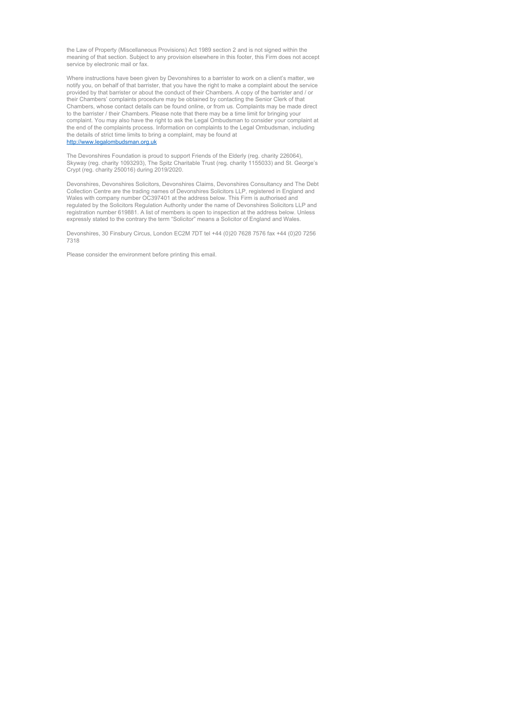the Law of Property (Miscellaneous Provisions) Act 1989 section 2 and is not signed within the meaning of that section. Subject to any provision elsewhere in this footer, this Firm does not accept service by electronic mail or fax.

Where instructions have been given by Devonshires to a barrister to work on a client's matter, we notify you, on behalf of that barrister, that you have the right to make a complaint about the service provided by that barrister or about the conduct of their Chambers. A copy of the barrister and / or their Chambers' complaints procedure may be obtained by contacting the Senior Clerk of that Chambers, whose contact details can be found online, or from us. Complaints may be made direct to the barrister / their Chambers. Please note that there may be a time limit for bringing your complaint. You may also have the right to ask the Legal Ombudsman to consider your complaint at the end of the complaints process. Information on complaints to the Legal Ombudsman, including the details of strict time limits to bring a complaint, may be found at [http://www.legalombudsman.org.uk](http://www.legalombudsman.org.uk/)

The Devonshires Foundation is proud to support Friends of the Elderly (reg. charity 226064), Skyway (reg. charity 1093293), The Spitz Charitable Trust (reg. charity 1155033) and St. George's Crypt (reg. charity 250016) during 2019/2020.

Devonshires, Devonshires Solicitors, Devonshires Claims, Devonshires Consultancy and The Debt Collection Centre are the trading names of Devonshires Solicitors LLP, registered in England and Wales with company number OC397401 at the address below. This Firm is authorised and regulated by the Solicitors Regulation Authority under the name of Devonshires Solicitors LLP and registration number 619881. A list of members is open to inspection at the address below. Unless expressly stated to the contrary the term "Solicitor" means a Solicitor of England and Wales.

Devonshires, 30 Finsbury Circus, London EC2M 7DT tel +44 (0)20 7628 7576 fax +44 (0)20 7256 7318

Please consider the environment before printing this email.